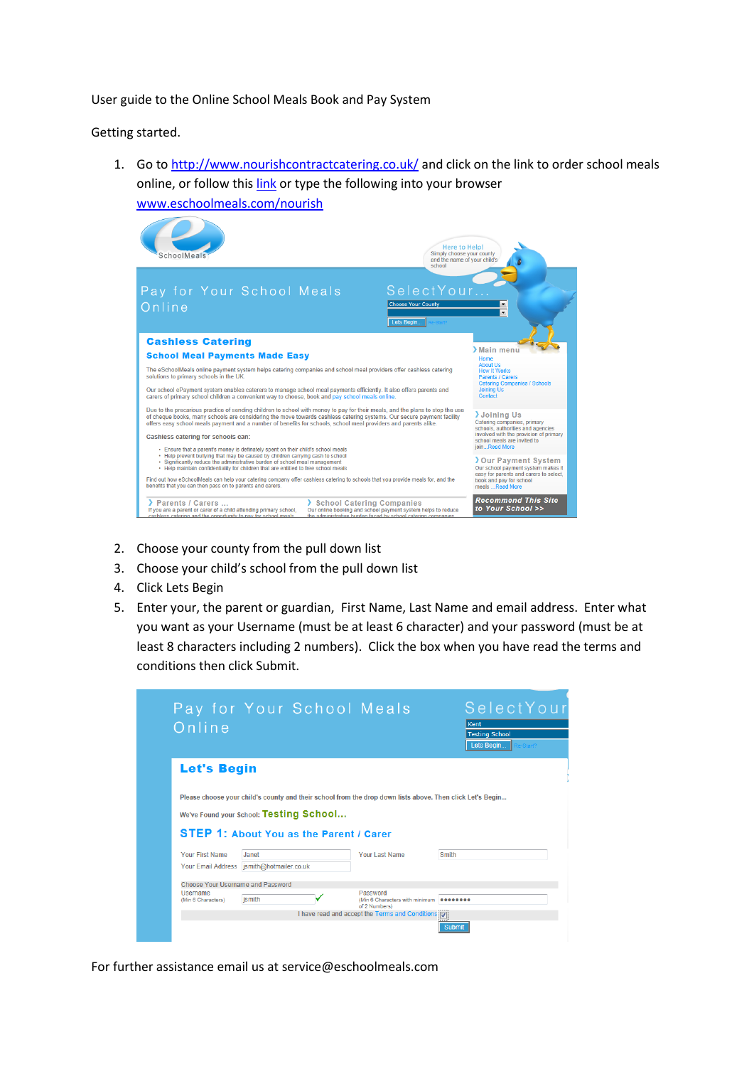User guide to the Online School Meals Book and Pay System

Getting started.

1. Go to<http://www.nourishcontractcatering.co.uk/> and click on the link to order school meals online, or follow thi[s link](http://www.eschoolmeals.com/Nourish) or type the following into your browser [www.eschoolmeals.com/nourish](http://www.eschoolmeals.com/nourish)



- 2. Choose your county from the pull down list
- 3. Choose your child's school from the pull down list
- 4. Click Lets Begin
- 5. Enter your, the parent or guardian, First Name, Last Name and email address. Enter what you want as your Username (must be at least 6 character) and your password (must be at least 8 characters including 2 numbers). Click the box when you have read the terms and conditions then click Submit.

| Online                            |                                                                                                           |                | Kent<br><b>Testing School</b> |
|-----------------------------------|-----------------------------------------------------------------------------------------------------------|----------------|-------------------------------|
|                                   |                                                                                                           |                | Lets Begin                    |
| <b>Let's Begin</b>                |                                                                                                           |                |                               |
|                                   |                                                                                                           |                |                               |
|                                   |                                                                                                           |                |                               |
|                                   | Please choose your child's county and their school from the drop down lists above. Then click Let's Begin |                |                               |
|                                   | We've Found your School: Testing School                                                                   |                |                               |
|                                   |                                                                                                           |                |                               |
|                                   | <b>STEP 1: About You as the Parent / Carer</b>                                                            |                |                               |
| <b>Your First Name</b>            | Janet                                                                                                     | Your Last Name | Smith                         |
|                                   | Your Email Address ismith@hotmailer.co.uk                                                                 |                |                               |
| Choose Your Username and Password |                                                                                                           |                |                               |

For further assistance email us at service@eschoolmeals.com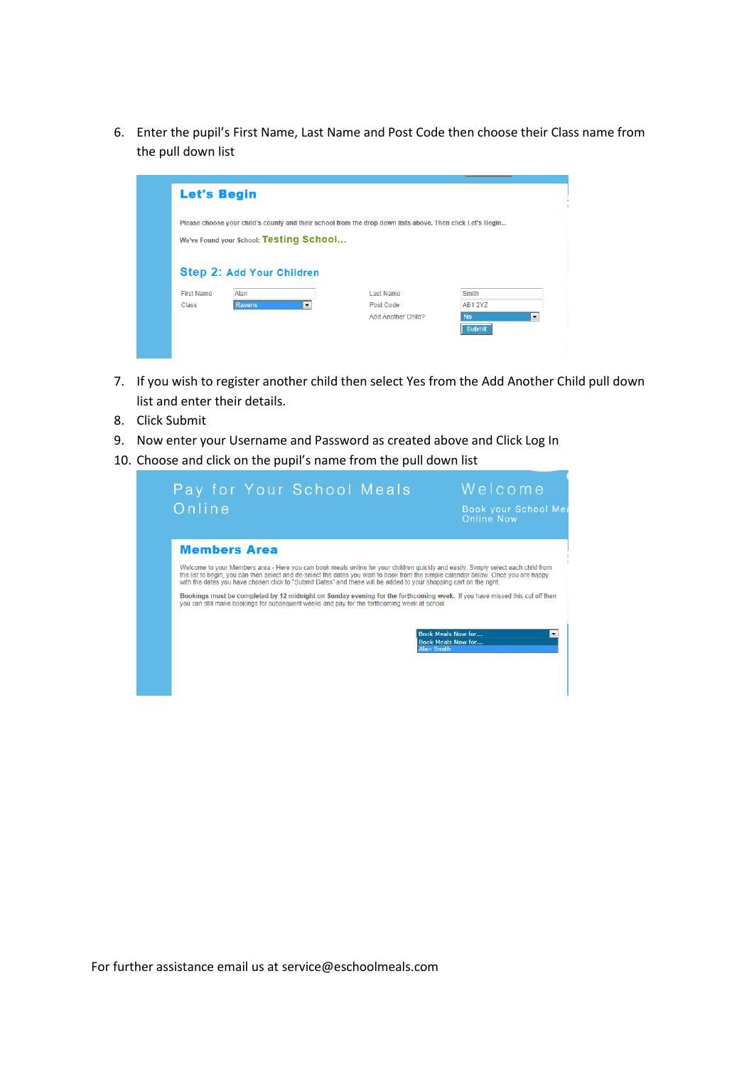6. Enter the pupil's First Name, Last Name and Post Code then choose their Class name from the pull down list



- 7. If you wish to register another child then select Yes from the Add Another Child pull down list and enter their details.
- 8. Click Submit
- 9. Now enter your Username and Password as created above and Click Log In
- 10. Choose and click on the pupil's name from the pull down list

| Welcome<br>Pay for Your School Meals<br>Online<br>Book your School Mea<br><b>Online Now</b>                                                                                                                                                                                                                                                                                                   |
|-----------------------------------------------------------------------------------------------------------------------------------------------------------------------------------------------------------------------------------------------------------------------------------------------------------------------------------------------------------------------------------------------|
| <b>Members Area</b>                                                                                                                                                                                                                                                                                                                                                                           |
| Welcome to your Members area - Here you can book meals online for your children quickly and easily. Simply select each child from<br>the list to begin, you can then select and de-select the dates you wish to book from the simple calendar below. Once you are happy<br>with the dates you have chosen click to "Submit Dates" and these will be added to your shopping cart on the right. |
| Bookings must be completed by 12 midnight on Sunday evening for the forthcoming week. If you have missed this cut off then<br>you can still make bookings for subsequent weeks and pay for the forthcoming week at school.                                                                                                                                                                    |
| <b>Book Meals Now for</b><br>$\overline{\phantom{a}}$<br><b>Book Meals Now for</b><br><b>Alan Smith</b>                                                                                                                                                                                                                                                                                       |
|                                                                                                                                                                                                                                                                                                                                                                                               |
|                                                                                                                                                                                                                                                                                                                                                                                               |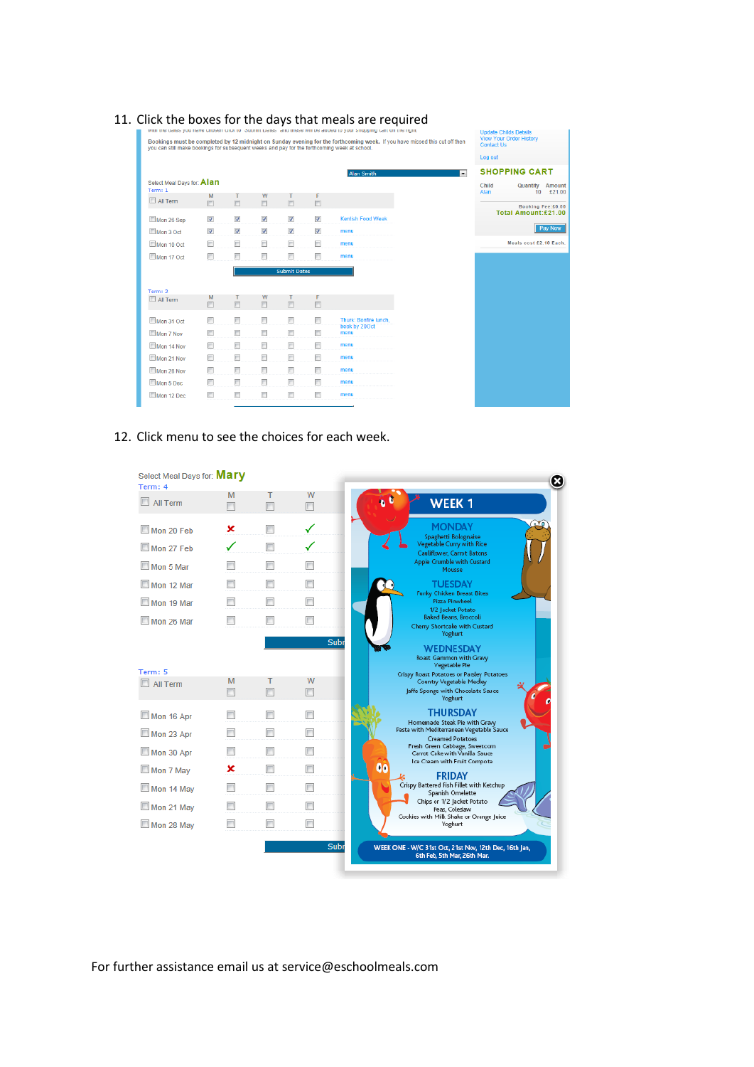| you can still make bookings for subsequent weeks and pay for the forthcoming week at school. |                          |                                       |                         |                              |                         | with the uates you have chosen click to Subhilit Dates, and these will be added to your shopping cart on the nght.<br>Bookings must be completed by 12 midnight on Sunday evening for the forthcoming week. If you have missed this cut off then |   | <b>Update Childs Details</b><br><b>View Your Order History</b><br><b>Contact Us</b> |
|----------------------------------------------------------------------------------------------|--------------------------|---------------------------------------|-------------------------|------------------------------|-------------------------|--------------------------------------------------------------------------------------------------------------------------------------------------------------------------------------------------------------------------------------------------|---|-------------------------------------------------------------------------------------|
|                                                                                              |                          |                                       |                         |                              |                         |                                                                                                                                                                                                                                                  |   | Log out                                                                             |
|                                                                                              |                          |                                       |                         |                              |                         | <b>Alan Smith</b>                                                                                                                                                                                                                                | ► | <b>SHOPPING CART</b>                                                                |
| Select Meal Days for: Alan<br>Term: 1                                                        |                          |                                       |                         |                              |                         |                                                                                                                                                                                                                                                  |   | <b>Child</b><br><b>Quantity</b> Amount<br>£21.00<br>Alan<br>10 <sup>10</sup>        |
| All Term                                                                                     | M<br>同                   | $\begin{array}{c} \hline \end{array}$ | W<br>$\Box$             | т<br>$\overline{\mathbb{R}}$ | F<br>$\boxed{\Box}$     |                                                                                                                                                                                                                                                  |   | Booking Fee:£0.00                                                                   |
| Mon 26 Sep                                                                                   | $\overline{\mathsf{v}}$  | $\blacktriangledown$                  | $\overline{\mathsf{v}}$ | $\blacktriangledown$         | $\overline{\mathsf{v}}$ | <b>Kentish Food Week</b>                                                                                                                                                                                                                         |   | Total Amount:£21.00                                                                 |
| Mon 3 Oct                                                                                    | $\overline{\mathcal{A}}$ | $\overline{\mathsf{v}}$               | $\overline{\mathbf{v}}$ | V                            | $\overline{\mathsf{v}}$ | menu                                                                                                                                                                                                                                             |   | Pay Now                                                                             |
| Mon 10 Oct                                                                                   | n                        | $\Box$                                | O                       | $\Box$                       | $\Box$                  | menu                                                                                                                                                                                                                                             |   | Meals cost £2.10 Each.                                                              |
| Mon 17 Oct                                                                                   | o                        | $\Box$                                | n                       | $\Box$                       | $\Box$                  | menu                                                                                                                                                                                                                                             |   |                                                                                     |
|                                                                                              |                          |                                       |                         | <b>Submit Dates</b>          |                         |                                                                                                                                                                                                                                                  |   |                                                                                     |
|                                                                                              |                          |                                       |                         |                              |                         |                                                                                                                                                                                                                                                  |   |                                                                                     |
| Term: 2<br>All Term                                                                          | M<br>同                   | $\boxed{\Box}$                        | W<br>$\Box$             |                              | F<br>同                  |                                                                                                                                                                                                                                                  |   |                                                                                     |
| Mon 31 Oct                                                                                   | n                        | $\Box$                                | П                       | П                            | $\blacksquare$          | Thurs: Bonfire lunch,                                                                                                                                                                                                                            |   |                                                                                     |
| Mon 7 Nov                                                                                    | n                        | $\Box$                                | n                       |                              | $\Box$                  | book by 20Oct<br>menu                                                                                                                                                                                                                            |   |                                                                                     |
| Mon 14 Nov                                                                                   | n                        | $\Box$                                | $\Box$                  | $\Box$                       | $\Box$                  | menu                                                                                                                                                                                                                                             |   |                                                                                     |
| Mon 21 Nov                                                                                   | n                        | $\Box$                                | $\Box$                  | $\Box$                       | $\Box$                  | menu                                                                                                                                                                                                                                             |   |                                                                                     |
| Mon 28 Nov                                                                                   | $\Box$                   | $\Box$                                | n                       | $\blacksquare$               | $\Box$                  | menu                                                                                                                                                                                                                                             |   |                                                                                     |
| Mon 5 Dec                                                                                    | n                        | $\Box$                                | $\Box$                  | $\Box$                       | $\Box$                  | menu                                                                                                                                                                                                                                             |   |                                                                                     |
| Mon 12 Dec                                                                                   | n                        | n                                     | n                       | $\Box$                       | $\Box$                  | menu                                                                                                                                                                                                                                             |   |                                                                                     |

## 11. Click the boxes for the days that meals are required

## 12. Click menu to see the choices for each week.

| Term: 4                    |        |                |                |                                                                           |
|----------------------------|--------|----------------|----------------|---------------------------------------------------------------------------|
| All Term                   | M<br>┍ | т<br>П         | W<br>▥         | WEEK <sub>1</sub>                                                         |
| Mon 20 Feb                 | x      |                |                | وتو<br><b>MONDAY</b><br>Spaghetti Bolognaise                              |
| Mon 27 Feb                 |        | П              | ✓              | Vegetable Curry with Rice<br>Cauliflower, Carrot Batons                   |
| Mon 5 Mar                  |        |                |                | Apple Crumble with Custard<br>Mousse                                      |
| Mon 12 Mar                 |        |                |                | <b>TUESDAY</b>                                                            |
| Mon 19 Mar                 |        | П              |                | <b>Funky Chicken Breast Bites</b><br>Pizza Pinwheel                       |
| Mon 26 Mar                 |        |                |                | 1/2 Jacket Potato<br><b>Baked Beans, Broccoli</b>                         |
|                            |        |                |                | Cherry Shortcake with Custard<br>Yoghurt                                  |
|                            |        |                | Subr           | <b>WEDNESDAY</b><br>Roast Gammon with Gravy<br>Vegetable Pie              |
| Term: 5<br><b>All Term</b> | M      |                | W              | Crispy Roast Potatoes or Parsley Potatoes<br>Country Vegetable Medley     |
|                            | П      |                | ┍              | Jaffa Sponge with Chocolate Sauce<br>Yoghurt                              |
| Mon 16 Apr                 |        |                |                | <b>THURSDAY</b>                                                           |
| Mon 23 Apr                 |        |                |                | Homemade Steak Pie with Gravy<br>Pasta with Mediterranean Vegetable Sauce |
|                            |        | П              | П              | <b>Creamed Potatoes</b><br>Fresh Green Cabbage, Sweetcom                  |
| Mon 30 Apr                 |        |                |                | Carrot Cake with Vanilla Sauce<br>Ice Cream with Fruit Compote            |
|                            |        | $\blacksquare$ | $\blacksquare$ | $\boldsymbol{\infty}$                                                     |
|                            | ×      |                |                |                                                                           |
| Mon 7 May<br>Mon 14 May    |        |                |                | <b>FRIDAY</b><br>Crispy Battered Fish Fillet with Ketchup                 |
|                            |        |                |                | Spanish Omelette<br>Chips or 1/2 Jacket Potato                            |
| Mon 21 May<br>Mon 28 May   |        |                | П              | Peas, Coleslaw<br>Cookies with Milk Shake or Orange Juice<br>Yoghurt      |

For further assistance email us at service@eschoolmeals.com